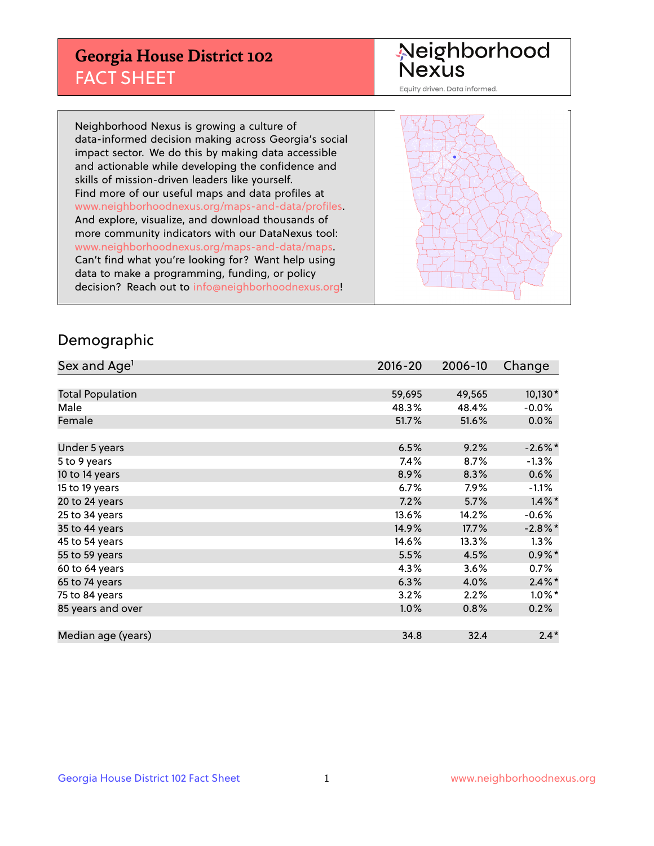## **Georgia House District 102** FACT SHEET

# Neighborhood<br>Nexus

Equity driven. Data informed.

Neighborhood Nexus is growing a culture of data-informed decision making across Georgia's social impact sector. We do this by making data accessible and actionable while developing the confidence and skills of mission-driven leaders like yourself. Find more of our useful maps and data profiles at www.neighborhoodnexus.org/maps-and-data/profiles. And explore, visualize, and download thousands of more community indicators with our DataNexus tool: www.neighborhoodnexus.org/maps-and-data/maps. Can't find what you're looking for? Want help using data to make a programming, funding, or policy decision? Reach out to [info@neighborhoodnexus.org!](mailto:info@neighborhoodnexus.org)



### Demographic

| Sex and Age <sup>1</sup> | $2016 - 20$ | 2006-10 | Change     |
|--------------------------|-------------|---------|------------|
|                          |             |         |            |
| <b>Total Population</b>  | 59,695      | 49,565  | 10,130*    |
| Male                     | 48.3%       | 48.4%   | $-0.0\%$   |
| Female                   | 51.7%       | 51.6%   | $0.0\%$    |
|                          |             |         |            |
| Under 5 years            | 6.5%        | 9.2%    | $-2.6\%$ * |
| 5 to 9 years             | 7.4%        | 8.7%    | $-1.3\%$   |
| 10 to 14 years           | 8.9%        | 8.3%    | 0.6%       |
| 15 to 19 years           | 6.7%        | 7.9%    | $-1.1%$    |
| 20 to 24 years           | 7.2%        | 5.7%    | $1.4\%$ *  |
| 25 to 34 years           | 13.6%       | 14.2%   | $-0.6%$    |
| 35 to 44 years           | 14.9%       | 17.7%   | $-2.8\%$ * |
| 45 to 54 years           | 14.6%       | 13.3%   | $1.3\%$    |
| 55 to 59 years           | 5.5%        | 4.5%    | $0.9\%$ *  |
| 60 to 64 years           | 4.3%        | 3.6%    | $0.7\%$    |
| 65 to 74 years           | 6.3%        | 4.0%    | $2.4\%$ *  |
| 75 to 84 years           | 3.2%        | 2.2%    | $1.0\%$ *  |
| 85 years and over        | 1.0%        | 0.8%    | 0.2%       |
|                          |             |         |            |
| Median age (years)       | 34.8        | 32.4    | $2.4*$     |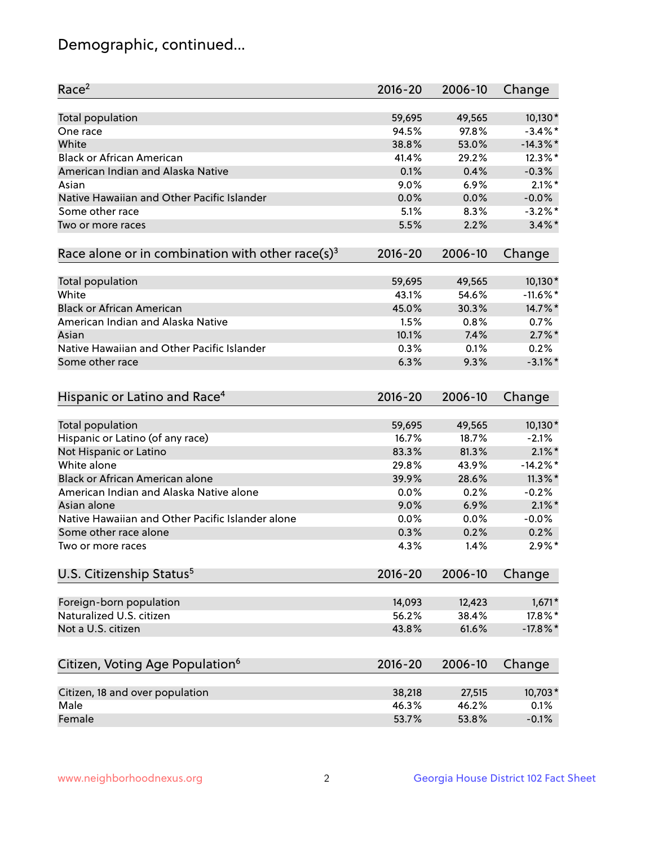## Demographic, continued...

| Race <sup>2</sup>                                            | $2016 - 20$ | 2006-10 | Change      |
|--------------------------------------------------------------|-------------|---------|-------------|
| <b>Total population</b>                                      | 59,695      | 49,565  | $10,130*$   |
| One race                                                     | 94.5%       | 97.8%   | $-3.4\%$ *  |
| White                                                        | 38.8%       | 53.0%   | $-14.3\%$ * |
| <b>Black or African American</b>                             | 41.4%       | 29.2%   | 12.3%*      |
| American Indian and Alaska Native                            | 0.1%        | 0.4%    | $-0.3%$     |
| Asian                                                        | 9.0%        | 6.9%    | $2.1\%$ *   |
| Native Hawaiian and Other Pacific Islander                   | 0.0%        | 0.0%    | $-0.0%$     |
| Some other race                                              | 5.1%        | 8.3%    | $-3.2\%$ *  |
| Two or more races                                            | 5.5%        | 2.2%    | $3.4\%$ *   |
| Race alone or in combination with other race(s) <sup>3</sup> | $2016 - 20$ | 2006-10 | Change      |
| Total population                                             | 59,695      | 49,565  | $10,130*$   |
| White                                                        | 43.1%       | 54.6%   | $-11.6\%$ * |
| <b>Black or African American</b>                             | 45.0%       | 30.3%   | 14.7%*      |
| American Indian and Alaska Native                            | 1.5%        | 0.8%    | 0.7%        |
| Asian                                                        | 10.1%       | 7.4%    | $2.7\%$ *   |
| Native Hawaiian and Other Pacific Islander                   | 0.3%        | 0.1%    | 0.2%        |
| Some other race                                              | 6.3%        | 9.3%    | $-3.1\%$ *  |
|                                                              |             |         |             |
| Hispanic or Latino and Race <sup>4</sup>                     | $2016 - 20$ | 2006-10 | Change      |
| Total population                                             | 59,695      | 49,565  | 10,130*     |
| Hispanic or Latino (of any race)                             | 16.7%       | 18.7%   | $-2.1%$     |
| Not Hispanic or Latino                                       | 83.3%       | 81.3%   | $2.1\%$ *   |
| White alone                                                  | 29.8%       | 43.9%   | $-14.2%$ *  |
| Black or African American alone                              | 39.9%       | 28.6%   | $11.3\%$ *  |
| American Indian and Alaska Native alone                      | 0.0%        | 0.2%    | $-0.2%$     |
| Asian alone                                                  | 9.0%        | 6.9%    | $2.1\%$ *   |
| Native Hawaiian and Other Pacific Islander alone             | 0.0%        | 0.0%    | $-0.0%$     |
| Some other race alone                                        | 0.3%        | 0.2%    | 0.2%        |
| Two or more races                                            | 4.3%        | 1.4%    | $2.9\%$ *   |
| U.S. Citizenship Status <sup>5</sup>                         | $2016 - 20$ | 2006-10 | Change      |
|                                                              |             |         |             |
| Foreign-born population                                      | 14,093      | 12,423  | $1,671*$    |
| Naturalized U.S. citizen                                     | 56.2%       | 38.4%   | 17.8%*      |
| Not a U.S. citizen                                           | 43.8%       | 61.6%   | $-17.8\%$ * |
| Citizen, Voting Age Population <sup>6</sup>                  | 2016-20     | 2006-10 | Change      |
| Citizen, 18 and over population                              | 38,218      | 27,515  | 10,703*     |
| Male                                                         | 46.3%       | 46.2%   | 0.1%        |
| Female                                                       | 53.7%       | 53.8%   | $-0.1%$     |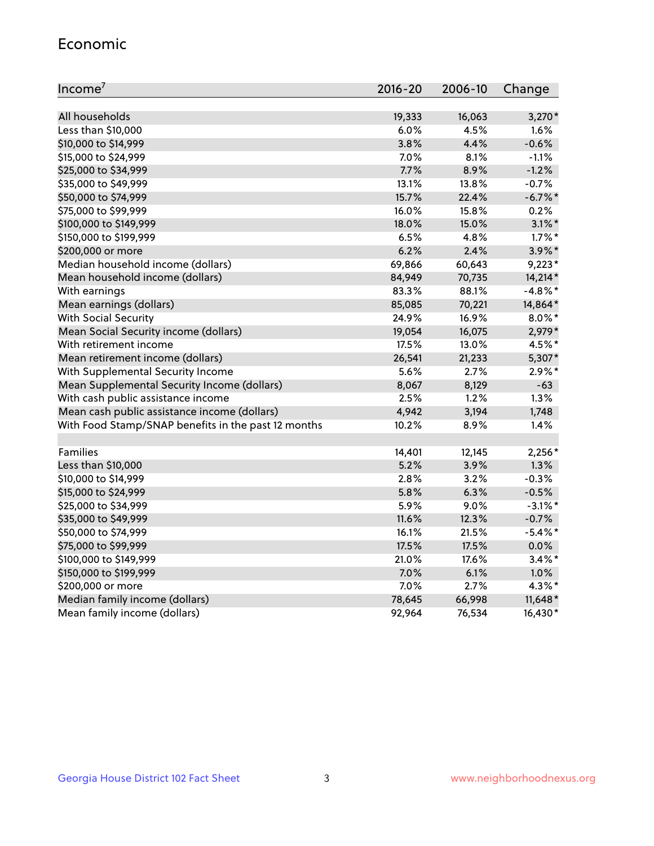#### Economic

| Income <sup>7</sup>                                 | $2016 - 20$ | 2006-10 | Change     |
|-----------------------------------------------------|-------------|---------|------------|
|                                                     |             |         |            |
| All households                                      | 19,333      | 16,063  | $3,270*$   |
| Less than \$10,000                                  | 6.0%        | 4.5%    | 1.6%       |
| \$10,000 to \$14,999                                | 3.8%        | 4.4%    | $-0.6%$    |
| \$15,000 to \$24,999                                | 7.0%        | 8.1%    | $-1.1%$    |
| \$25,000 to \$34,999                                | 7.7%        | 8.9%    | $-1.2%$    |
| \$35,000 to \$49,999                                | 13.1%       | 13.8%   | $-0.7%$    |
| \$50,000 to \$74,999                                | 15.7%       | 22.4%   | $-6.7\%$ * |
| \$75,000 to \$99,999                                | 16.0%       | 15.8%   | 0.2%       |
| \$100,000 to \$149,999                              | 18.0%       | 15.0%   | $3.1\%$ *  |
| \$150,000 to \$199,999                              | 6.5%        | 4.8%    | $1.7\%$ *  |
| \$200,000 or more                                   | 6.2%        | 2.4%    | $3.9\%$ *  |
| Median household income (dollars)                   | 69,866      | 60,643  | $9,223*$   |
| Mean household income (dollars)                     | 84,949      | 70,735  | 14,214*    |
| With earnings                                       | 83.3%       | 88.1%   | $-4.8\%$ * |
| Mean earnings (dollars)                             | 85,085      | 70,221  | 14,864*    |
| <b>With Social Security</b>                         | 24.9%       | 16.9%   | $8.0\%$ *  |
| Mean Social Security income (dollars)               | 19,054      | 16,075  | 2,979*     |
| With retirement income                              | 17.5%       | 13.0%   | 4.5%*      |
| Mean retirement income (dollars)                    | 26,541      | 21,233  | 5,307*     |
| With Supplemental Security Income                   | 5.6%        | 2.7%    | $2.9\%$ *  |
| Mean Supplemental Security Income (dollars)         | 8,067       | 8,129   | $-63$      |
| With cash public assistance income                  | 2.5%        | 1.2%    | 1.3%       |
| Mean cash public assistance income (dollars)        | 4,942       | 3,194   | 1,748      |
| With Food Stamp/SNAP benefits in the past 12 months | 10.2%       | 8.9%    | 1.4%       |
|                                                     |             |         |            |
| Families                                            | 14,401      | 12,145  | 2,256*     |
| Less than \$10,000                                  | 5.2%        | 3.9%    | 1.3%       |
| \$10,000 to \$14,999                                | 2.8%        | 3.2%    | $-0.3%$    |
| \$15,000 to \$24,999                                | 5.8%        | 6.3%    | $-0.5%$    |
| \$25,000 to \$34,999                                | 5.9%        | 9.0%    | $-3.1\%$ * |
| \$35,000 to \$49,999                                | 11.6%       | 12.3%   | $-0.7%$    |
| \$50,000 to \$74,999                                | 16.1%       | 21.5%   | $-5.4\%$ * |
| \$75,000 to \$99,999                                | 17.5%       | 17.5%   | 0.0%       |
| \$100,000 to \$149,999                              | 21.0%       | 17.6%   | $3.4\%$ *  |
| \$150,000 to \$199,999                              | 7.0%        | 6.1%    | 1.0%       |
| \$200,000 or more                                   | 7.0%        | 2.7%    | 4.3%*      |
| Median family income (dollars)                      | 78,645      | 66,998  | $11,648*$  |
| Mean family income (dollars)                        | 92,964      | 76,534  | 16,430*    |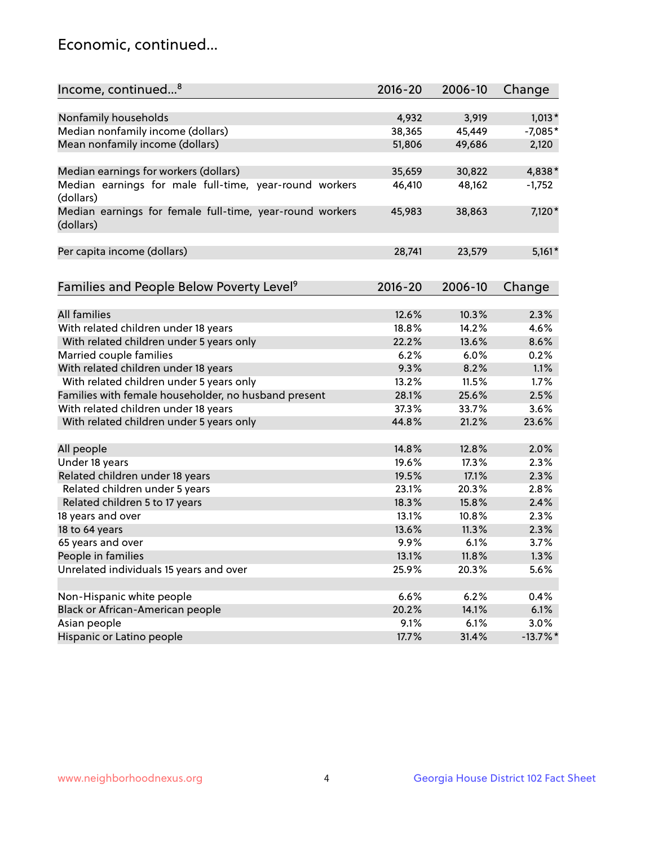## Economic, continued...

| Income, continued <sup>8</sup>                                                   | $2016 - 20$ | 2006-10 | Change      |
|----------------------------------------------------------------------------------|-------------|---------|-------------|
|                                                                                  |             |         |             |
| Nonfamily households                                                             | 4,932       | 3,919   | $1,013*$    |
| Median nonfamily income (dollars)                                                | 38,365      | 45,449  | $-7,085*$   |
| Mean nonfamily income (dollars)                                                  | 51,806      | 49,686  | 2,120       |
|                                                                                  |             |         |             |
| Median earnings for workers (dollars)                                            | 35,659      | 30,822  | 4,838*      |
| Median earnings for male full-time, year-round workers                           | 46,410      | 48,162  | $-1,752$    |
| (dollars)                                                                        |             |         |             |
| Median earnings for female full-time, year-round workers                         | 45,983      | 38,863  | 7,120*      |
| (dollars)                                                                        |             |         |             |
|                                                                                  |             |         |             |
| Per capita income (dollars)                                                      | 28,741      | 23,579  | $5,161*$    |
|                                                                                  |             |         |             |
|                                                                                  | 2016-20     | 2006-10 |             |
| Families and People Below Poverty Level <sup>9</sup>                             |             |         | Change      |
| <b>All families</b>                                                              | 12.6%       | 10.3%   | 2.3%        |
|                                                                                  | 18.8%       | 14.2%   | 4.6%        |
| With related children under 18 years<br>With related children under 5 years only | 22.2%       | 13.6%   | 8.6%        |
| Married couple families                                                          | 6.2%        | 6.0%    | 0.2%        |
| With related children under 18 years                                             | 9.3%        | 8.2%    | 1.1%        |
|                                                                                  | 13.2%       | 11.5%   | 1.7%        |
| With related children under 5 years only                                         | 28.1%       |         | 2.5%        |
| Families with female householder, no husband present                             | 37.3%       | 25.6%   | 3.6%        |
| With related children under 18 years                                             |             | 33.7%   |             |
| With related children under 5 years only                                         | 44.8%       | 21.2%   | 23.6%       |
| All people                                                                       | 14.8%       | 12.8%   | 2.0%        |
| Under 18 years                                                                   | 19.6%       | 17.3%   | 2.3%        |
| Related children under 18 years                                                  | 19.5%       | 17.1%   | 2.3%        |
| Related children under 5 years                                                   | 23.1%       | 20.3%   | 2.8%        |
| Related children 5 to 17 years                                                   | 18.3%       | 15.8%   | 2.4%        |
| 18 years and over                                                                | 13.1%       | 10.8%   | 2.3%        |
| 18 to 64 years                                                                   | 13.6%       | 11.3%   | 2.3%        |
| 65 years and over                                                                | 9.9%        | 6.1%    | 3.7%        |
| People in families                                                               | 13.1%       | 11.8%   | 1.3%        |
| Unrelated individuals 15 years and over                                          | 25.9%       | 20.3%   | 5.6%        |
|                                                                                  |             |         |             |
| Non-Hispanic white people                                                        | 6.6%        | 6.2%    | 0.4%        |
| Black or African-American people                                                 | 20.2%       | 14.1%   | 6.1%        |
| Asian people                                                                     | 9.1%        | 6.1%    | 3.0%        |
| Hispanic or Latino people                                                        | 17.7%       | 31.4%   | $-13.7\%$ * |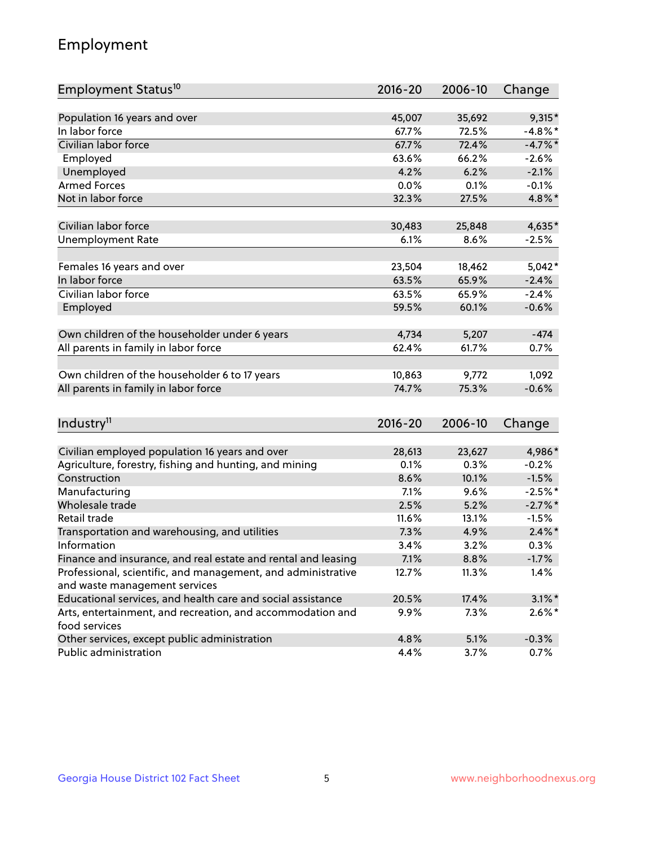## Employment

| Employment Status <sup>10</sup>                                             | $2016 - 20$ | 2006-10 | Change     |
|-----------------------------------------------------------------------------|-------------|---------|------------|
|                                                                             |             |         |            |
| Population 16 years and over                                                | 45,007      | 35,692  | 9,315*     |
| In labor force                                                              | 67.7%       | 72.5%   | $-4.8\%$ * |
| Civilian labor force                                                        | 67.7%       | 72.4%   | $-4.7%$ *  |
| Employed                                                                    | 63.6%       | 66.2%   | $-2.6%$    |
| Unemployed                                                                  | 4.2%        | 6.2%    | $-2.1%$    |
| <b>Armed Forces</b>                                                         | 0.0%        | 0.1%    | $-0.1%$    |
| Not in labor force                                                          | 32.3%       | 27.5%   | 4.8%*      |
|                                                                             |             |         |            |
| Civilian labor force                                                        | 30,483      | 25,848  | 4,635*     |
| <b>Unemployment Rate</b>                                                    | 6.1%        | 8.6%    | $-2.5%$    |
| Females 16 years and over                                                   | 23,504      | 18,462  | $5,042*$   |
| In labor force                                                              | 63.5%       | 65.9%   | $-2.4%$    |
| Civilian labor force                                                        | 63.5%       | 65.9%   | $-2.4%$    |
| Employed                                                                    | 59.5%       | 60.1%   | $-0.6%$    |
|                                                                             |             |         |            |
| Own children of the householder under 6 years                               | 4,734       | 5,207   | $-474$     |
| All parents in family in labor force                                        | 62.4%       | 61.7%   | 0.7%       |
|                                                                             |             |         |            |
| Own children of the householder 6 to 17 years                               | 10,863      | 9,772   | 1,092      |
| All parents in family in labor force                                        | 74.7%       | 75.3%   | $-0.6%$    |
|                                                                             |             |         |            |
| Industry <sup>11</sup>                                                      | $2016 - 20$ | 2006-10 | Change     |
|                                                                             |             |         |            |
| Civilian employed population 16 years and over                              | 28,613      | 23,627  | 4,986*     |
| Agriculture, forestry, fishing and hunting, and mining                      | 0.1%        | 0.3%    | $-0.2%$    |
| Construction                                                                | 8.6%        | 10.1%   | $-1.5%$    |
| Manufacturing                                                               | 7.1%        | 9.6%    | $-2.5%$ *  |
| Wholesale trade                                                             | 2.5%        | 5.2%    | $-2.7\%$ * |
| Retail trade                                                                | 11.6%       | 13.1%   | $-1.5%$    |
| Transportation and warehousing, and utilities                               | 7.3%        | 4.9%    | $2.4\%$ *  |
| Information                                                                 | 3.4%        | 3.2%    | 0.3%       |
| Finance and insurance, and real estate and rental and leasing               | 7.1%        | 8.8%    | $-1.7%$    |
| Professional, scientific, and management, and administrative                | 12.7%       | 11.3%   | 1.4%       |
| and waste management services                                               |             |         |            |
| Educational services, and health care and social assistance                 | 20.5%       | 17.4%   | $3.1\%$ *  |
| Arts, entertainment, and recreation, and accommodation and<br>food services | 9.9%        | 7.3%    | $2.6\%$ *  |
| Other services, except public administration                                | 4.8%        | 5.1%    | $-0.3%$    |
| Public administration                                                       | 4.4%        | 3.7%    | 0.7%       |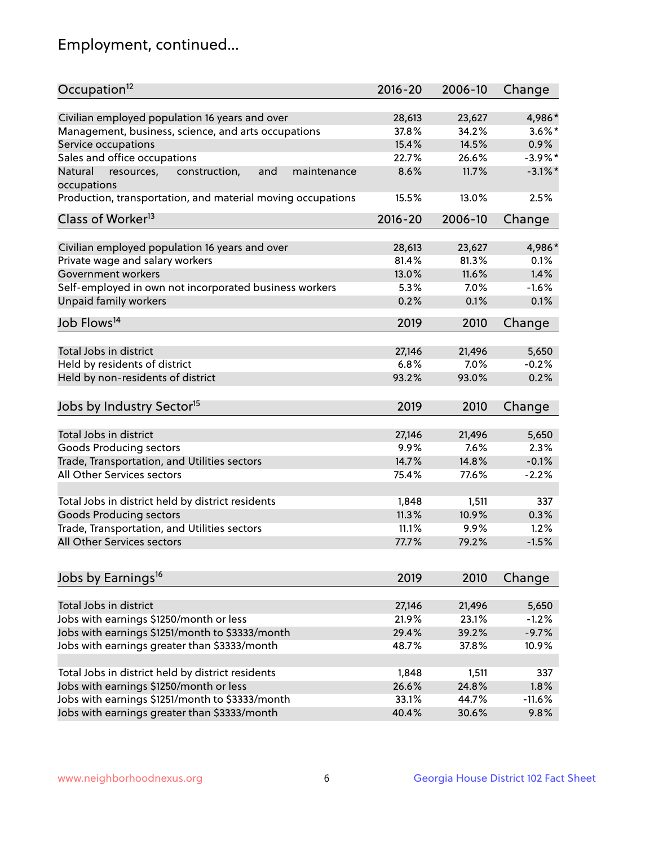## Employment, continued...

| Occupation <sup>12</sup>                                                    | $2016 - 20$ | 2006-10 | Change     |
|-----------------------------------------------------------------------------|-------------|---------|------------|
| Civilian employed population 16 years and over                              | 28,613      | 23,627  | 4,986*     |
| Management, business, science, and arts occupations                         | 37.8%       | 34.2%   | $3.6\%$ *  |
| Service occupations                                                         | 15.4%       | 14.5%   | 0.9%       |
| Sales and office occupations                                                | 22.7%       | 26.6%   | $-3.9\%$ * |
|                                                                             |             |         |            |
| Natural<br>and<br>resources,<br>construction,<br>maintenance<br>occupations | 8.6%        | 11.7%   | $-3.1\%$ * |
| Production, transportation, and material moving occupations                 | 15.5%       | 13.0%   | 2.5%       |
| Class of Worker <sup>13</sup>                                               | $2016 - 20$ | 2006-10 | Change     |
| Civilian employed population 16 years and over                              | 28,613      | 23,627  | 4,986*     |
| Private wage and salary workers                                             | 81.4%       | 81.3%   | 0.1%       |
| Government workers                                                          | 13.0%       | 11.6%   | 1.4%       |
| Self-employed in own not incorporated business workers                      | 5.3%        | 7.0%    | $-1.6%$    |
| Unpaid family workers                                                       | 0.2%        | 0.1%    | 0.1%       |
| Job Flows <sup>14</sup>                                                     | 2019        | 2010    | Change     |
|                                                                             |             |         |            |
| Total Jobs in district                                                      | 27,146      | 21,496  | 5,650      |
| Held by residents of district                                               | 6.8%        | 7.0%    | $-0.2%$    |
| Held by non-residents of district                                           | 93.2%       | 93.0%   | 0.2%       |
| Jobs by Industry Sector <sup>15</sup>                                       | 2019        | 2010    | Change     |
| Total Jobs in district                                                      | 27,146      | 21,496  | 5,650      |
| Goods Producing sectors                                                     | 9.9%        | 7.6%    | 2.3%       |
| Trade, Transportation, and Utilities sectors                                | 14.7%       | 14.8%   | $-0.1%$    |
| All Other Services sectors                                                  | 75.4%       | 77.6%   | $-2.2%$    |
|                                                                             |             |         |            |
| Total Jobs in district held by district residents                           | 1,848       | 1,511   | 337        |
| <b>Goods Producing sectors</b>                                              | 11.3%       | 10.9%   | 0.3%       |
| Trade, Transportation, and Utilities sectors                                | 11.1%       | 9.9%    | 1.2%       |
| All Other Services sectors                                                  | 77.7%       | 79.2%   | $-1.5%$    |
|                                                                             |             |         |            |
| Jobs by Earnings <sup>16</sup>                                              | 2019        | 2010    | Change     |
| Total Jobs in district                                                      | 27,146      | 21,496  | 5,650      |
| Jobs with earnings \$1250/month or less                                     | 21.9%       | 23.1%   | $-1.2%$    |
| Jobs with earnings \$1251/month to \$3333/month                             | 29.4%       | 39.2%   | $-9.7%$    |
| Jobs with earnings greater than \$3333/month                                | 48.7%       | 37.8%   | 10.9%      |
|                                                                             |             |         |            |
| Total Jobs in district held by district residents                           | 1,848       | 1,511   | 337        |
| Jobs with earnings \$1250/month or less                                     | 26.6%       | 24.8%   | 1.8%       |
| Jobs with earnings \$1251/month to \$3333/month                             | 33.1%       | 44.7%   | $-11.6%$   |
| Jobs with earnings greater than \$3333/month                                | 40.4%       | 30.6%   | 9.8%       |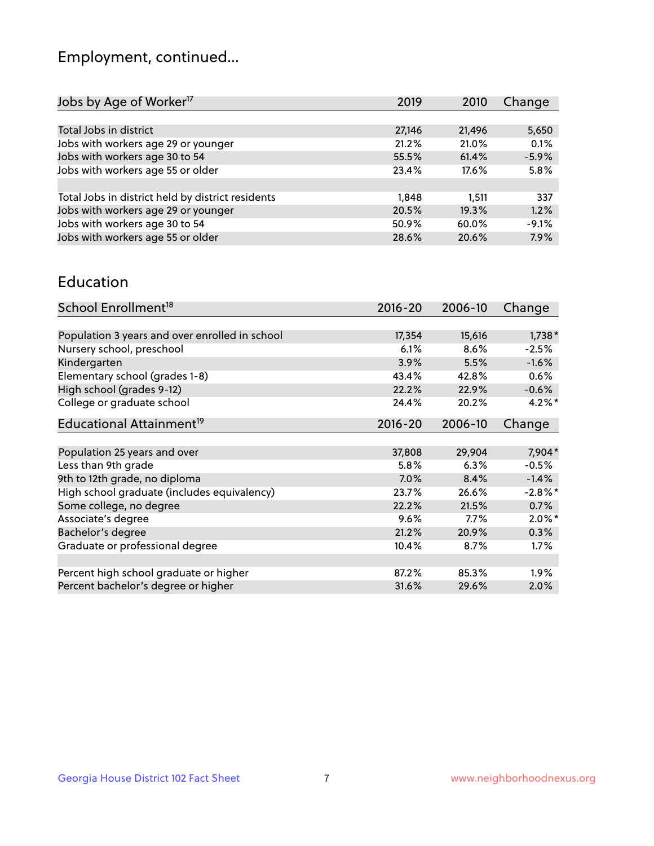## Employment, continued...

| Jobs by Age of Worker <sup>17</sup>               | 2019   | 2010   | Change  |
|---------------------------------------------------|--------|--------|---------|
|                                                   |        |        |         |
| Total Jobs in district                            | 27,146 | 21,496 | 5,650   |
| Jobs with workers age 29 or younger               | 21.2%  | 21.0%  | 0.1%    |
| Jobs with workers age 30 to 54                    | 55.5%  | 61.4%  | $-5.9%$ |
| Jobs with workers age 55 or older                 | 23.4%  | 17.6%  | 5.8%    |
|                                                   |        |        |         |
| Total Jobs in district held by district residents | 1,848  | 1.511  | 337     |
| Jobs with workers age 29 or younger               | 20.5%  | 19.3%  | 1.2%    |
| Jobs with workers age 30 to 54                    | 50.9%  | 60.0%  | $-9.1%$ |
| Jobs with workers age 55 or older                 | 28.6%  | 20.6%  | 7.9%    |
|                                                   |        |        |         |

#### Education

| School Enrollment <sup>18</sup>                | $2016 - 20$ | 2006-10 | Change     |
|------------------------------------------------|-------------|---------|------------|
|                                                |             |         |            |
| Population 3 years and over enrolled in school | 17,354      | 15,616  | $1,738*$   |
| Nursery school, preschool                      | 6.1%        | 8.6%    | $-2.5%$    |
| Kindergarten                                   | 3.9%        | 5.5%    | $-1.6%$    |
| Elementary school (grades 1-8)                 | 43.4%       | 42.8%   | 0.6%       |
| High school (grades 9-12)                      | 22.2%       | 22.9%   | $-0.6\%$   |
| College or graduate school                     | 24.4%       | 20.2%   | $4.2\%$ *  |
| Educational Attainment <sup>19</sup>           | $2016 - 20$ | 2006-10 | Change     |
|                                                |             |         |            |
| Population 25 years and over                   | 37,808      | 29,904  | 7,904*     |
| Less than 9th grade                            | 5.8%        | 6.3%    | $-0.5%$    |
| 9th to 12th grade, no diploma                  | 7.0%        | 8.4%    | $-1.4%$    |
| High school graduate (includes equivalency)    | 23.7%       | 26.6%   | $-2.8\%$ * |
| Some college, no degree                        | 22.2%       | 21.5%   | 0.7%       |
| Associate's degree                             | 9.6%        | $7.7\%$ | $2.0\%$ *  |
| Bachelor's degree                              | 21.2%       | 20.9%   | 0.3%       |
| Graduate or professional degree                | 10.4%       | 8.7%    | $1.7\%$    |
|                                                |             |         |            |
| Percent high school graduate or higher         | 87.2%       | 85.3%   | $1.9\%$    |
| Percent bachelor's degree or higher            | 31.6%       | 29.6%   | 2.0%       |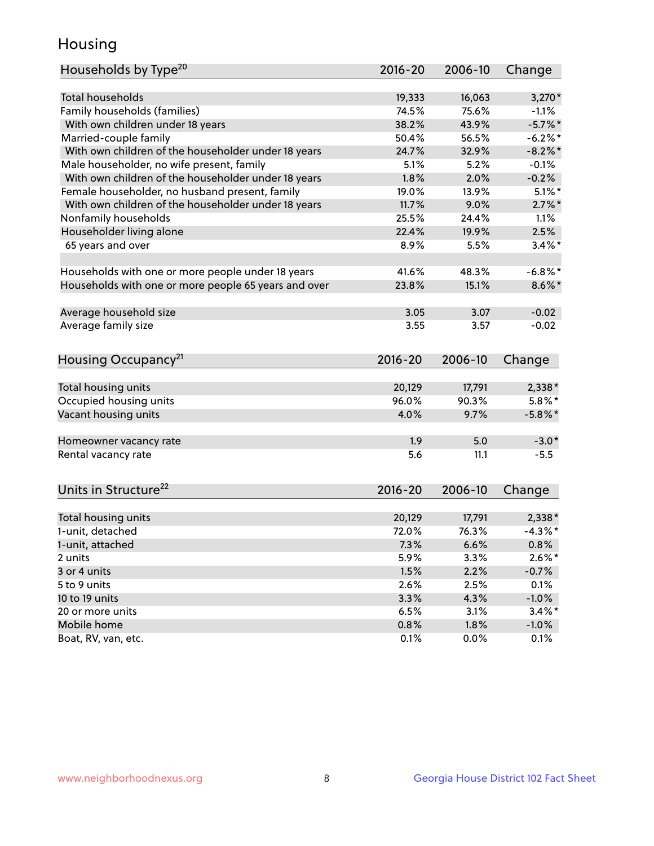## Housing

| Households by Type <sup>20</sup>                     | 2016-20 | 2006-10 | Change     |
|------------------------------------------------------|---------|---------|------------|
|                                                      |         |         |            |
| <b>Total households</b>                              | 19,333  | 16,063  | $3,270*$   |
| Family households (families)                         | 74.5%   | 75.6%   | $-1.1%$    |
| With own children under 18 years                     | 38.2%   | 43.9%   | $-5.7\%$ * |
| Married-couple family                                | 50.4%   | 56.5%   | $-6.2%$ *  |
| With own children of the householder under 18 years  | 24.7%   | 32.9%   | $-8.2\%$ * |
| Male householder, no wife present, family            | 5.1%    | 5.2%    | $-0.1%$    |
| With own children of the householder under 18 years  | 1.8%    | 2.0%    | $-0.2%$    |
| Female householder, no husband present, family       | 19.0%   | 13.9%   | $5.1\%$ *  |
| With own children of the householder under 18 years  | 11.7%   | 9.0%    | $2.7\%$ *  |
| Nonfamily households                                 | 25.5%   | 24.4%   | 1.1%       |
| Householder living alone                             | 22.4%   | 19.9%   | 2.5%       |
| 65 years and over                                    | 8.9%    | 5.5%    | $3.4\%$ *  |
|                                                      |         |         |            |
| Households with one or more people under 18 years    | 41.6%   | 48.3%   | $-6.8\%$ * |
| Households with one or more people 65 years and over | 23.8%   | 15.1%   | $8.6\%$ *  |
|                                                      |         |         |            |
| Average household size                               | 3.05    | 3.07    | $-0.02$    |
| Average family size                                  | 3.55    | 3.57    | $-0.02$    |
| Housing Occupancy <sup>21</sup>                      | 2016-20 | 2006-10 | Change     |
| Total housing units                                  | 20,129  | 17,791  | 2,338*     |
| Occupied housing units                               | 96.0%   | 90.3%   | $5.8\%$ *  |
| Vacant housing units                                 | 4.0%    | 9.7%    | $-5.8\%$ * |
|                                                      |         |         |            |
| Homeowner vacancy rate                               | 1.9     | 5.0     | $-3.0*$    |
| Rental vacancy rate                                  | 5.6     | 11.1    | $-5.5$     |
| Units in Structure <sup>22</sup>                     | 2016-20 | 2006-10 | Change     |
|                                                      |         |         |            |
| Total housing units                                  | 20,129  | 17,791  | $2,338*$   |
| 1-unit, detached                                     | 72.0%   | 76.3%   | $-4.3\%$ * |
| 1-unit, attached                                     | $7.3\%$ | 6.6%    | 0.8%       |
| 2 units                                              | 5.9%    | 3.3%    | $2.6\%$ *  |
| 3 or 4 units                                         | 1.5%    | 2.2%    | $-0.7%$    |
| 5 to 9 units                                         | 2.6%    | 2.5%    | 0.1%       |
| 10 to 19 units                                       | 3.3%    | 4.3%    | $-1.0%$    |
| 20 or more units                                     | 6.5%    | 3.1%    | $3.4\%$ *  |
| Mobile home                                          | 0.8%    | 1.8%    | $-1.0\%$   |
| Boat, RV, van, etc.                                  | 0.1%    | 0.0%    | 0.1%       |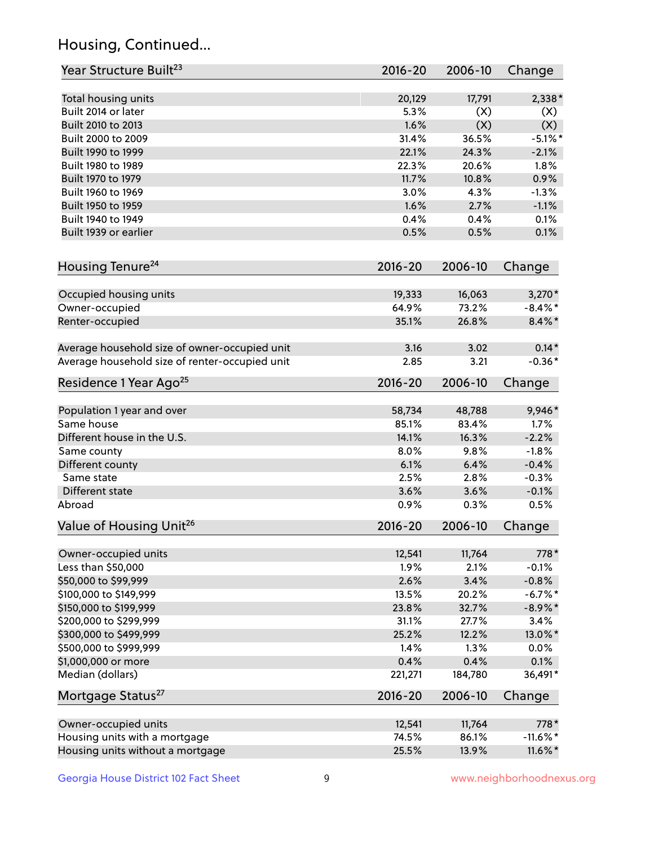## Housing, Continued...

| Year Structure Built <sup>23</sup>                    | 2016-20         | 2006-10         | Change              |
|-------------------------------------------------------|-----------------|-----------------|---------------------|
| Total housing units                                   | 20,129          | 17,791          | $2,338*$            |
| Built 2014 or later                                   | 5.3%            | (X)             | (X)                 |
| Built 2010 to 2013                                    | 1.6%            | (X)             | (X)                 |
| Built 2000 to 2009                                    | 31.4%           | 36.5%           | $-5.1\%$ *          |
| Built 1990 to 1999                                    | 22.1%           | 24.3%           | $-2.1%$             |
| Built 1980 to 1989                                    | 22.3%           | 20.6%           | 1.8%                |
| Built 1970 to 1979                                    | 11.7%           | 10.8%           | 0.9%                |
| Built 1960 to 1969                                    | 3.0%            | 4.3%            | $-1.3%$             |
| Built 1950 to 1959                                    | 1.6%            | 2.7%            | $-1.1%$             |
| Built 1940 to 1949                                    | 0.4%            | 0.4%            | 0.1%                |
| Built 1939 or earlier                                 | 0.5%            | 0.5%            | 0.1%                |
| Housing Tenure <sup>24</sup>                          | $2016 - 20$     | 2006-10         | Change              |
|                                                       |                 |                 |                     |
| Occupied housing units                                | 19,333          | 16,063          | $3,270*$            |
| Owner-occupied                                        | 64.9%           | 73.2%           | $-8.4\%$ *          |
| Renter-occupied                                       | 35.1%           | 26.8%           | $8.4\% *$           |
| Average household size of owner-occupied unit         | 3.16            | 3.02            | $0.14*$             |
| Average household size of renter-occupied unit        | 2.85            | 3.21            | $-0.36*$            |
| Residence 1 Year Ago <sup>25</sup>                    | $2016 - 20$     | 2006-10         | Change              |
| Population 1 year and over                            | 58,734          | 48,788          | 9,946*              |
| Same house                                            | 85.1%           | 83.4%           | 1.7%                |
| Different house in the U.S.                           | 14.1%           | 16.3%           | $-2.2%$             |
| Same county                                           | 8.0%            | 9.8%            | $-1.8%$             |
| Different county                                      | 6.1%            | 6.4%            | $-0.4%$             |
| Same state                                            | 2.5%            | 2.8%            | $-0.3%$             |
| Different state                                       | 3.6%            | 3.6%            | $-0.1%$             |
| Abroad                                                | 0.9%            | 0.3%            | 0.5%                |
| Value of Housing Unit <sup>26</sup>                   | $2016 - 20$     | 2006-10         | Change              |
| Owner-occupied units                                  | 12,541          | 11,764          | 778*                |
| Less than \$50,000                                    | 1.9%            | 2.1%            | $-0.1%$             |
| \$50,000 to \$99,999                                  | 2.6%            | 3.4%            | $-0.8%$             |
| \$100,000 to \$149,999                                | 13.5%           | 20.2%           | $-6.7%$ *           |
| \$150,000 to \$199,999                                | 23.8%           | 32.7%           | $-8.9\%*$           |
| \$200,000 to \$299,999                                | 31.1%           | 27.7%           | 3.4%                |
| \$300,000 to \$499,999                                | 25.2%           | 12.2%           | 13.0%*              |
| \$500,000 to \$999,999                                | 1.4%            | 1.3%            | 0.0%                |
| \$1,000,000 or more                                   | 0.4%            | 0.4%            | 0.1%                |
| Median (dollars)                                      | 221,271         | 184,780         | 36,491*             |
| Mortgage Status <sup>27</sup>                         | $2016 - 20$     | 2006-10         | Change              |
|                                                       |                 |                 |                     |
| Owner-occupied units<br>Housing units with a mortgage | 12,541<br>74.5% | 11,764<br>86.1% | 778*<br>$-11.6\%$ * |
|                                                       |                 |                 |                     |
| Housing units without a mortgage                      | 25.5%           | 13.9%           | $11.6\%$ *          |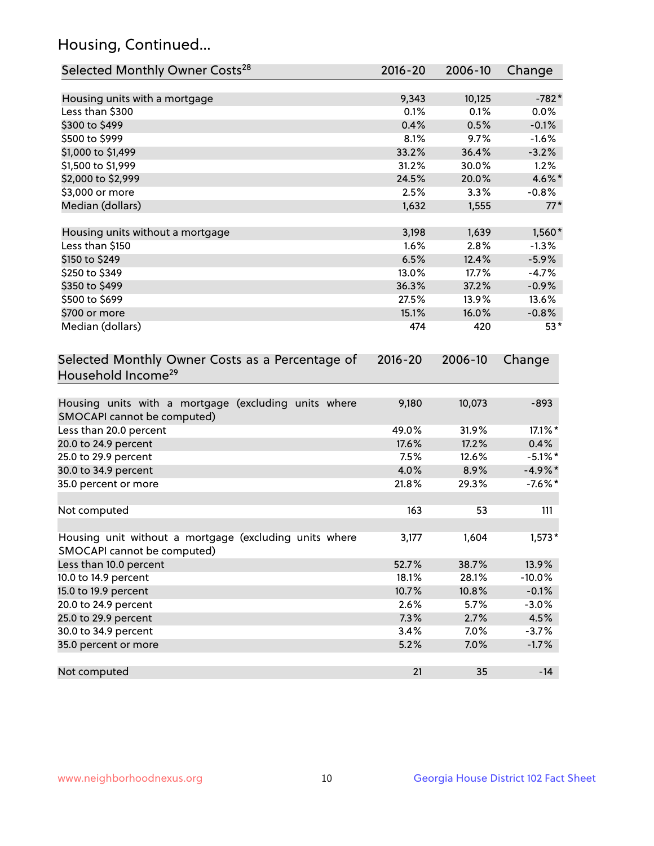## Housing, Continued...

| Selected Monthly Owner Costs <sup>28</sup>                                            | 2016-20 | 2006-10 | Change     |
|---------------------------------------------------------------------------------------|---------|---------|------------|
| Housing units with a mortgage                                                         | 9,343   | 10,125  | $-782*$    |
| Less than \$300                                                                       | 0.1%    | 0.1%    | 0.0%       |
| \$300 to \$499                                                                        | 0.4%    | 0.5%    | $-0.1%$    |
| \$500 to \$999                                                                        | 8.1%    | 9.7%    | $-1.6%$    |
| \$1,000 to \$1,499                                                                    | 33.2%   | 36.4%   | $-3.2%$    |
| \$1,500 to \$1,999                                                                    | 31.2%   | 30.0%   | 1.2%       |
| \$2,000 to \$2,999                                                                    | 24.5%   | 20.0%   | 4.6%*      |
| \$3,000 or more                                                                       | 2.5%    | 3.3%    | $-0.8%$    |
| Median (dollars)                                                                      | 1,632   | 1,555   | $77*$      |
| Housing units without a mortgage                                                      | 3,198   | 1,639   | 1,560*     |
| Less than \$150                                                                       | 1.6%    | 2.8%    | $-1.3%$    |
| \$150 to \$249                                                                        | 6.5%    | 12.4%   | $-5.9%$    |
| \$250 to \$349                                                                        | 13.0%   | 17.7%   | $-4.7%$    |
| \$350 to \$499                                                                        | 36.3%   | 37.2%   | $-0.9%$    |
| \$500 to \$699                                                                        | 27.5%   | 13.9%   | 13.6%      |
| \$700 or more                                                                         | 15.1%   | 16.0%   | $-0.8%$    |
| Median (dollars)                                                                      | 474     | 420     | $53*$      |
| Household Income <sup>29</sup>                                                        |         |         |            |
| Housing units with a mortgage (excluding units where<br>SMOCAPI cannot be computed)   | 9,180   | 10,073  | $-893$     |
| Less than 20.0 percent                                                                | 49.0%   | 31.9%   | 17.1%*     |
| 20.0 to 24.9 percent                                                                  | 17.6%   | 17.2%   | 0.4%       |
| 25.0 to 29.9 percent                                                                  | 7.5%    | 12.6%   | $-5.1\%$ * |
| 30.0 to 34.9 percent                                                                  | 4.0%    | 8.9%    | $-4.9\%$ * |
| 35.0 percent or more                                                                  | 21.8%   | 29.3%   | $-7.6\%$ * |
| Not computed                                                                          | 163     | 53      | 111        |
| Housing unit without a mortgage (excluding units where<br>SMOCAPI cannot be computed) | 3,177   | 1,604   | $1,573*$   |
| Less than 10.0 percent                                                                | 52.7%   | 38.7%   | 13.9%      |
| 10.0 to 14.9 percent                                                                  | 18.1%   | 28.1%   | $-10.0%$   |
| 15.0 to 19.9 percent                                                                  | 10.7%   | 10.8%   | $-0.1%$    |
| 20.0 to 24.9 percent                                                                  | 2.6%    | 5.7%    | $-3.0%$    |
| 25.0 to 29.9 percent                                                                  | 7.3%    | 2.7%    | 4.5%       |
| 30.0 to 34.9 percent                                                                  | 3.4%    | 7.0%    | $-3.7%$    |
| 35.0 percent or more                                                                  | 5.2%    | 7.0%    | $-1.7%$    |
| Not computed                                                                          | 21      | 35      | $-14$      |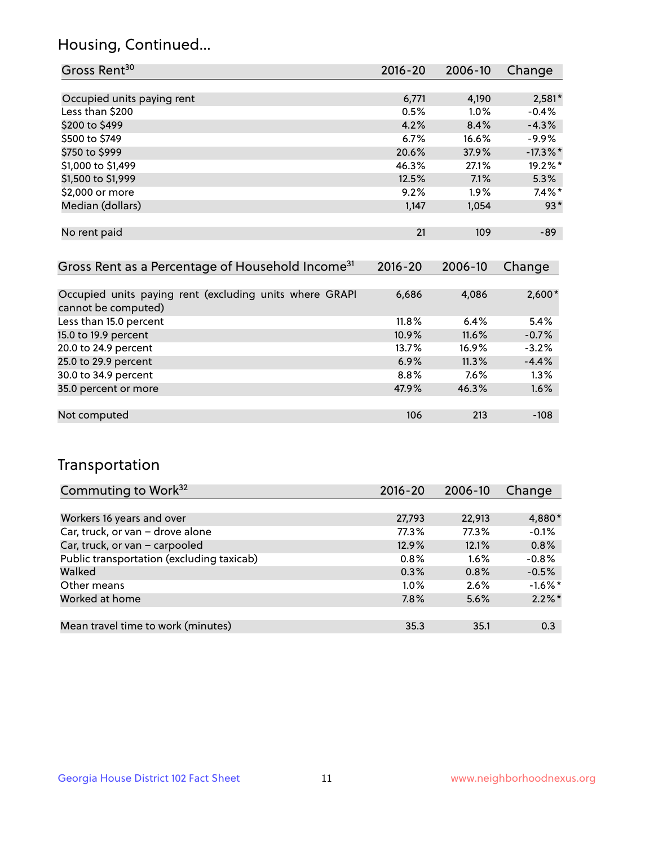## Housing, Continued...

| Gross Rent <sup>30</sup>   | 2016-20 | 2006-10 | Change      |
|----------------------------|---------|---------|-------------|
|                            |         |         |             |
| Occupied units paying rent | 6,771   | 4,190   | $2,581*$    |
| Less than \$200            | 0.5%    | 1.0%    | $-0.4%$     |
| \$200 to \$499             | 4.2%    | 8.4%    | $-4.3%$     |
| \$500 to \$749             | 6.7%    | 16.6%   | $-9.9%$     |
| \$750 to \$999             | 20.6%   | 37.9%   | $-17.3\%$ * |
| \$1,000 to \$1,499         | 46.3%   | 27.1%   | 19.2%*      |
| \$1,500 to \$1,999         | 12.5%   | 7.1%    | 5.3%        |
| \$2,000 or more            | 9.2%    | 1.9%    | $7.4\%$ *   |
| Median (dollars)           | 1,147   | 1,054   | $93*$       |
|                            |         |         |             |
| No rent paid               | 21      | 109     | $-89$       |

| Gross Rent as a Percentage of Household Income <sup>31</sup>                   | $2016 - 20$ | 2006-10 | Change   |
|--------------------------------------------------------------------------------|-------------|---------|----------|
|                                                                                |             |         |          |
| Occupied units paying rent (excluding units where GRAPI<br>cannot be computed) | 6,686       | 4,086   | $2,600*$ |
| Less than 15.0 percent                                                         | $11.8\%$    | 6.4%    | 5.4%     |
| 15.0 to 19.9 percent                                                           | 10.9%       | 11.6%   | $-0.7%$  |
| 20.0 to 24.9 percent                                                           | 13.7%       | 16.9%   | $-3.2%$  |
| 25.0 to 29.9 percent                                                           | 6.9%        | 11.3%   | $-4.4%$  |
| 30.0 to 34.9 percent                                                           | 8.8%        | 7.6%    | 1.3%     |
| 35.0 percent or more                                                           | 47.9%       | 46.3%   | 1.6%     |
|                                                                                |             |         |          |
| Not computed                                                                   | 106         | 213     | $-108$   |

## Transportation

| Commuting to Work <sup>32</sup>           | 2016-20 | 2006-10 | Change     |
|-------------------------------------------|---------|---------|------------|
|                                           |         |         |            |
| Workers 16 years and over                 | 27,793  | 22,913  | 4,880*     |
| Car, truck, or van - drove alone          | 77.3%   | 77.3%   | $-0.1%$    |
| Car, truck, or van - carpooled            | 12.9%   | 12.1%   | 0.8%       |
| Public transportation (excluding taxicab) | 0.8%    | $1.6\%$ | $-0.8%$    |
| Walked                                    | 0.3%    | 0.8%    | $-0.5%$    |
| Other means                               | $1.0\%$ | 2.6%    | $-1.6\%$ * |
| Worked at home                            | 7.8%    | 5.6%    | $2.2\%$ *  |
|                                           |         |         |            |
| Mean travel time to work (minutes)        | 35.3    | 35.1    | 0.3        |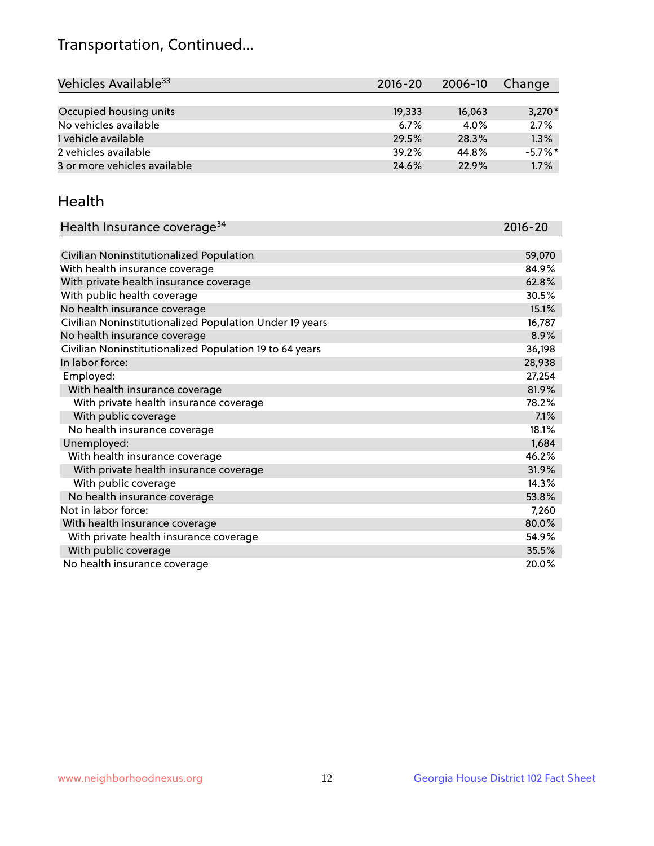## Transportation, Continued...

| Vehicles Available <sup>33</sup> | $2016 - 20$ | $2006 - 10$ | Change     |
|----------------------------------|-------------|-------------|------------|
|                                  |             |             |            |
| Occupied housing units           | 19,333      | 16,063      | $3,270*$   |
| No vehicles available            | 6.7%        | 4.0%        | 2.7%       |
| 1 vehicle available              | 29.5%       | 28.3%       | 1.3%       |
| 2 vehicles available             | 39.2%       | 44.8%       | $-5.7\%$ * |
| 3 or more vehicles available     | 24.6%       | 22.9%       | 1.7%       |

#### Health

| Health Insurance coverage <sup>34</sup>                 | 2016-20 |
|---------------------------------------------------------|---------|
|                                                         |         |
| Civilian Noninstitutionalized Population                | 59,070  |
| With health insurance coverage                          | 84.9%   |
| With private health insurance coverage                  | 62.8%   |
| With public health coverage                             | 30.5%   |
| No health insurance coverage                            | 15.1%   |
| Civilian Noninstitutionalized Population Under 19 years | 16,787  |
| No health insurance coverage                            | 8.9%    |
| Civilian Noninstitutionalized Population 19 to 64 years | 36,198  |
| In labor force:                                         | 28,938  |
| Employed:                                               | 27,254  |
| With health insurance coverage                          | 81.9%   |
| With private health insurance coverage                  | 78.2%   |
| With public coverage                                    | 7.1%    |
| No health insurance coverage                            | 18.1%   |
| Unemployed:                                             | 1,684   |
| With health insurance coverage                          | 46.2%   |
| With private health insurance coverage                  | 31.9%   |
| With public coverage                                    | 14.3%   |
| No health insurance coverage                            | 53.8%   |
| Not in labor force:                                     | 7,260   |
| With health insurance coverage                          | 80.0%   |
| With private health insurance coverage                  | 54.9%   |
| With public coverage                                    | 35.5%   |
| No health insurance coverage                            | 20.0%   |